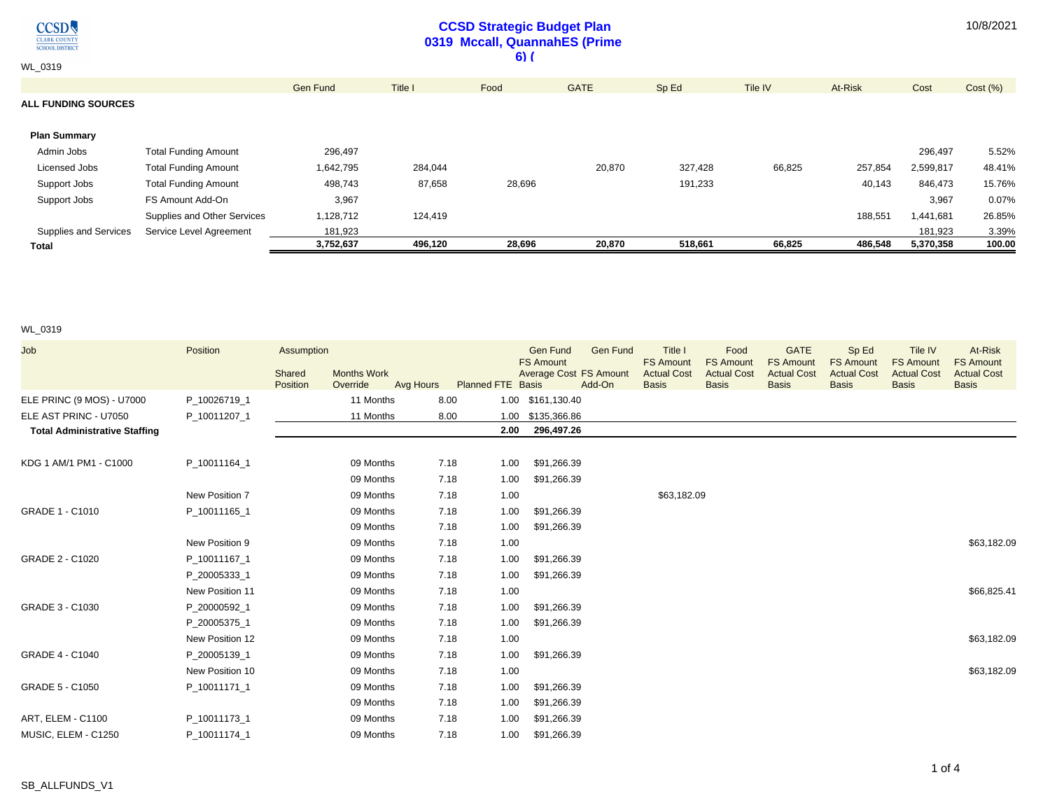$\underset{\frac{\text{CLASSD}}{\text{CIARK COUNTY}}}{\text{CLARK COUNTY}}$ 

## **CCSD Strategic Budget Plan 0319 Mccall, QuannahES (Prime 6) (**

| Total                      |                             | 3,752,637       | 496,120 | 28,696 | 20,870      | 518,661 | 66,825  | 486,548 | 5,370,358 | 100.00  |
|----------------------------|-----------------------------|-----------------|---------|--------|-------------|---------|---------|---------|-----------|---------|
| Supplies and Services      | Service Level Agreement     | 181,923         |         |        |             |         |         |         | 181,923   | 3.39%   |
|                            | Supplies and Other Services | 1,128,712       | 124,419 |        |             |         |         | 188,551 | 1,441,681 | 26.85%  |
| Support Jobs               | FS Amount Add-On            | 3,967           |         |        |             |         |         |         | 3,967     | 0.07%   |
| Support Jobs               | <b>Total Funding Amount</b> | 498,743         | 87,658  | 28,696 |             | 191,233 |         | 40,143  | 846,473   | 15.76%  |
| Licensed Jobs              | <b>Total Funding Amount</b> | 1,642,795       | 284,044 |        | 20,870      | 327,428 | 66,825  | 257,854 | 2,599,817 | 48.41%  |
| Admin Jobs                 | <b>Total Funding Amount</b> | 296,497         |         |        |             |         |         |         | 296,497   | 5.52%   |
| <b>Plan Summary</b>        |                             |                 |         |        |             |         |         |         |           |         |
| <b>ALL FUNDING SOURCES</b> |                             |                 |         |        |             |         |         |         |           |         |
|                            |                             | <b>Gen Fund</b> | Title I | Food   | <b>GATE</b> | Sp Ed   | Tile IV | At-Risk | Cost      | Cost(%) |
| <b>WL 0319</b>             |                             |                 |         | .      |             |         |         |         |           |         |

## WL\_0319

| Job                                  | Position        | Assumption         |                                             |      |                          | Gen Fund<br><b>FS Amount</b>  | <b>Gen Fund</b> | Title I<br><b>FS Amount</b>        | Food<br><b>FS Amount</b>           | <b>GATE</b><br><b>FS Amount</b>    | Sp Ed<br><b>FS Amount</b>          | Tile IV<br><b>FS Amount</b>        | At-Risk<br><b>FS Amount</b>        |
|--------------------------------------|-----------------|--------------------|---------------------------------------------|------|--------------------------|-------------------------------|-----------------|------------------------------------|------------------------------------|------------------------------------|------------------------------------|------------------------------------|------------------------------------|
|                                      |                 | Shared<br>Position | <b>Months Work</b><br>Override<br>Avg Hours |      | <b>Planned FTE Basis</b> | <b>Average Cost FS Amount</b> | Add-On          | <b>Actual Cost</b><br><b>Basis</b> | <b>Actual Cost</b><br><b>Basis</b> | <b>Actual Cost</b><br><b>Basis</b> | <b>Actual Cost</b><br><b>Basis</b> | <b>Actual Cost</b><br><b>Basis</b> | <b>Actual Cost</b><br><b>Basis</b> |
| ELE PRINC (9 MOS) - U7000            | P 10026719 1    |                    | 11 Months                                   | 8.00 |                          | 1.00 \$161,130.40             |                 |                                    |                                    |                                    |                                    |                                    |                                    |
| ELE AST PRINC - U7050                | P_10011207_1    |                    | 11 Months                                   | 8.00 |                          | 1.00 \$135,366.86             |                 |                                    |                                    |                                    |                                    |                                    |                                    |
| <b>Total Administrative Staffing</b> |                 |                    |                                             |      | 2.00                     | 296,497.26                    |                 |                                    |                                    |                                    |                                    |                                    |                                    |
| KDG 1 AM/1 PM1 - C1000               | P_10011164_1    |                    | 09 Months                                   | 7.18 | 1.00                     | \$91,266.39                   |                 |                                    |                                    |                                    |                                    |                                    |                                    |
|                                      |                 |                    | 09 Months                                   | 7.18 | 1.00                     | \$91,266.39                   |                 |                                    |                                    |                                    |                                    |                                    |                                    |
|                                      | New Position 7  |                    | 09 Months                                   | 7.18 | 1.00                     |                               |                 | \$63,182.09                        |                                    |                                    |                                    |                                    |                                    |
| GRADE 1 - C1010                      | P 10011165 1    |                    | 09 Months                                   | 7.18 | 1.00                     | \$91,266.39                   |                 |                                    |                                    |                                    |                                    |                                    |                                    |
|                                      |                 |                    | 09 Months                                   | 7.18 | 1.00                     | \$91,266.39                   |                 |                                    |                                    |                                    |                                    |                                    |                                    |
|                                      | New Position 9  |                    | 09 Months                                   | 7.18 | 1.00                     |                               |                 |                                    |                                    |                                    |                                    |                                    | \$63,182.09                        |
| GRADE 2 - C1020                      | P 10011167 1    |                    | 09 Months                                   | 7.18 | 1.00                     | \$91,266.39                   |                 |                                    |                                    |                                    |                                    |                                    |                                    |
|                                      | P_20005333_1    |                    | 09 Months                                   | 7.18 | 1.00                     | \$91,266.39                   |                 |                                    |                                    |                                    |                                    |                                    |                                    |
|                                      | New Position 11 |                    | 09 Months                                   | 7.18 | 1.00                     |                               |                 |                                    |                                    |                                    |                                    |                                    | \$66,825.41                        |
| GRADE 3 - C1030                      | P_20000592_1    |                    | 09 Months                                   | 7.18 | 1.00                     | \$91,266.39                   |                 |                                    |                                    |                                    |                                    |                                    |                                    |
|                                      | P 20005375 1    |                    | 09 Months                                   | 7.18 | 1.00                     | \$91,266.39                   |                 |                                    |                                    |                                    |                                    |                                    |                                    |
|                                      | New Position 12 |                    | 09 Months                                   | 7.18 | 1.00                     |                               |                 |                                    |                                    |                                    |                                    |                                    | \$63,182.09                        |
| GRADE 4 - C1040                      | P 20005139 1    |                    | 09 Months                                   | 7.18 | 1.00                     | \$91,266.39                   |                 |                                    |                                    |                                    |                                    |                                    |                                    |
|                                      | New Position 10 |                    | 09 Months                                   | 7.18 | 1.00                     |                               |                 |                                    |                                    |                                    |                                    |                                    | \$63,182.09                        |
| GRADE 5 - C1050                      | P 10011171 1    |                    | 09 Months                                   | 7.18 | 1.00                     | \$91,266.39                   |                 |                                    |                                    |                                    |                                    |                                    |                                    |
|                                      |                 |                    | 09 Months                                   | 7.18 | 1.00                     | \$91,266.39                   |                 |                                    |                                    |                                    |                                    |                                    |                                    |
| ART, ELEM - C1100                    | P 10011173 1    |                    | 09 Months                                   | 7.18 | 1.00                     | \$91,266.39                   |                 |                                    |                                    |                                    |                                    |                                    |                                    |
| MUSIC, ELEM - C1250                  | P 10011174 1    |                    | 09 Months                                   | 7.18 | 1.00                     | \$91,266.39                   |                 |                                    |                                    |                                    |                                    |                                    |                                    |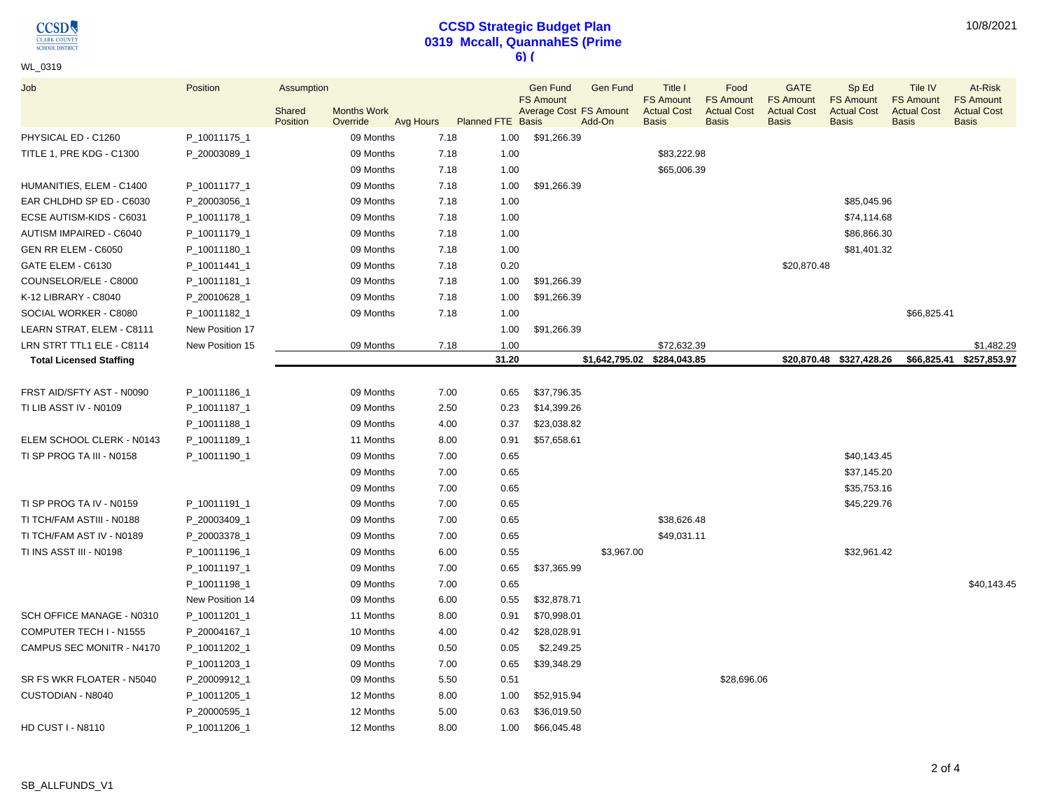**CCSD** CLARK COUNTY

# **CCSD Strategic Budget Plan 0319 Mccall, QuannahES (Prime 6) (**

10/8/2021

| WL_0319                        |                 |            |                    |           |                          |                                            |                 |                                        |                                        |                                        |                                        |                                        |                                        |
|--------------------------------|-----------------|------------|--------------------|-----------|--------------------------|--------------------------------------------|-----------------|----------------------------------------|----------------------------------------|----------------------------------------|----------------------------------------|----------------------------------------|----------------------------------------|
| Job                            | Position        | Assumption |                    |           |                          | Gen Fund                                   | <b>Gen Fund</b> | Title I                                | Food                                   | <b>GATE</b>                            | Sp Ed                                  | Tile IV                                | At-Risk                                |
|                                |                 | Shared     | <b>Months Work</b> |           |                          | <b>FS Amount</b><br>Average Cost FS Amount |                 | <b>FS Amount</b><br><b>Actual Cost</b> | <b>FS Amount</b><br><b>Actual Cost</b> | <b>FS Amount</b><br><b>Actual Cost</b> | <b>FS Amount</b><br><b>Actual Cost</b> | <b>FS Amount</b><br><b>Actual Cost</b> | <b>FS Amount</b><br><b>Actual Cost</b> |
|                                |                 | Position   | Override           | Avg Hours | <b>Planned FTE Basis</b> |                                            | Add-On          | <b>Basis</b>                           | <b>Basis</b>                           | <b>Basis</b>                           | <b>Basis</b>                           | <b>Basis</b>                           | <b>Basis</b>                           |
| PHYSICAL ED - C1260            | P_10011175_1    |            | 09 Months          | 7.18      | 1.00                     | \$91,266.39                                |                 |                                        |                                        |                                        |                                        |                                        |                                        |
| TITLE 1, PRE KDG - C1300       | P_20003089_1    |            | 09 Months          | 7.18      | 1.00                     |                                            |                 | \$83,222.98                            |                                        |                                        |                                        |                                        |                                        |
|                                |                 |            | 09 Months          | 7.18      | 1.00                     |                                            |                 | \$65,006.39                            |                                        |                                        |                                        |                                        |                                        |
| HUMANITIES, ELEM - C1400       | P_10011177_1    |            | 09 Months          | 7.18      | 1.00                     | \$91,266.39                                |                 |                                        |                                        |                                        |                                        |                                        |                                        |
| EAR CHLDHD SP ED - C6030       | P_20003056_1    |            | 09 Months          | 7.18      | 1.00                     |                                            |                 |                                        |                                        |                                        | \$85,045.96                            |                                        |                                        |
| ECSE AUTISM-KIDS - C6031       | P_10011178_1    |            | 09 Months          | 7.18      | 1.00                     |                                            |                 |                                        |                                        |                                        | \$74,114.68                            |                                        |                                        |
| AUTISM IMPAIRED - C6040        | P_10011179_1    |            | 09 Months          | 7.18      | 1.00                     |                                            |                 |                                        |                                        |                                        | \$86,866.30                            |                                        |                                        |
| GEN RR ELEM - C6050            | P_10011180_1    |            | 09 Months          | 7.18      | 1.00                     |                                            |                 |                                        |                                        |                                        | \$81,401.32                            |                                        |                                        |
| GATE ELEM - C6130              | P_10011441_1    |            | 09 Months          | 7.18      | 0.20                     |                                            |                 |                                        |                                        | \$20,870.48                            |                                        |                                        |                                        |
| COUNSELOR/ELE - C8000          | P_10011181_1    |            | 09 Months          | 7.18      | 1.00                     | \$91,266.39                                |                 |                                        |                                        |                                        |                                        |                                        |                                        |
| K-12 LIBRARY - C8040           | P_20010628_1    |            | 09 Months          | 7.18      | 1.00                     | \$91,266.39                                |                 |                                        |                                        |                                        |                                        |                                        |                                        |
| SOCIAL WORKER - C8080          | P_10011182_1    |            | 09 Months          | 7.18      | 1.00                     |                                            |                 |                                        |                                        |                                        |                                        | \$66,825.41                            |                                        |
| LEARN STRAT, ELEM - C8111      | New Position 17 |            |                    |           | 1.00                     | \$91,266.39                                |                 |                                        |                                        |                                        |                                        |                                        |                                        |
| LRN STRT TTL1 ELE - C8114      | New Position 15 |            | 09 Months          | 7.18      | 1.00                     |                                            |                 | \$72,632.39                            |                                        |                                        |                                        |                                        | \$1,482.29                             |
| <b>Total Licensed Staffing</b> |                 |            |                    |           | 31.20                    |                                            |                 | \$1,642,795.02 \$284,043.85            |                                        |                                        | \$20,870.48 \$327,428.26               |                                        | \$66,825.41 \$257,853.97               |
|                                |                 |            |                    |           |                          |                                            |                 |                                        |                                        |                                        |                                        |                                        |                                        |
| FRST AID/SFTY AST - N0090      | P_10011186_1    |            | 09 Months          | 7.00      | 0.65                     | \$37,796.35                                |                 |                                        |                                        |                                        |                                        |                                        |                                        |
| TI LIB ASST IV - N0109         | P_10011187_1    |            | 09 Months          | 2.50      | 0.23                     | \$14,399.26                                |                 |                                        |                                        |                                        |                                        |                                        |                                        |
|                                | P_10011188_1    |            | 09 Months          | 4.00      | 0.37                     | \$23,038.82                                |                 |                                        |                                        |                                        |                                        |                                        |                                        |
| ELEM SCHOOL CLERK - N0143      | P_10011189_1    |            | 11 Months          | 8.00      | 0.91                     | \$57,658.61                                |                 |                                        |                                        |                                        |                                        |                                        |                                        |
| TI SP PROG TA III - N0158      | P_10011190_1    |            | 09 Months          | 7.00      | 0.65                     |                                            |                 |                                        |                                        |                                        | \$40,143.45                            |                                        |                                        |
|                                |                 |            | 09 Months          | 7.00      | 0.65                     |                                            |                 |                                        |                                        |                                        | \$37,145.20                            |                                        |                                        |
|                                |                 |            | 09 Months          | 7.00      | 0.65                     |                                            |                 |                                        |                                        |                                        | \$35,753.16                            |                                        |                                        |
| TI SP PROG TA IV - N0159       | P_10011191_1    |            | 09 Months          | 7.00      | 0.65                     |                                            |                 |                                        |                                        |                                        | \$45,229.76                            |                                        |                                        |
| TI TCH/FAM ASTIII - N0188      | P_20003409_1    |            | 09 Months          | 7.00      | 0.65                     |                                            |                 | \$38,626.48                            |                                        |                                        |                                        |                                        |                                        |
| TI TCH/FAM AST IV - N0189      | P_20003378_1    |            | 09 Months          | 7.00      | 0.65                     |                                            |                 | \$49,031.11                            |                                        |                                        |                                        |                                        |                                        |
| TI INS ASST III - N0198        | P_10011196_1    |            | 09 Months          | 6.00      | 0.55                     |                                            | \$3,967.00      |                                        |                                        |                                        | \$32,961.42                            |                                        |                                        |
|                                | P_10011197_1    |            | 09 Months          | 7.00      | 0.65                     | \$37,365.99                                |                 |                                        |                                        |                                        |                                        |                                        |                                        |
|                                | P_10011198_1    |            | 09 Months          | 7.00      | 0.65                     |                                            |                 |                                        |                                        |                                        |                                        |                                        | \$40,143.45                            |
|                                | New Position 14 |            | 09 Months          | 6.00      | 0.55                     | \$32,878.71                                |                 |                                        |                                        |                                        |                                        |                                        |                                        |
| SCH OFFICE MANAGE - N0310      | P_10011201_1    |            | 11 Months          | 8.00      | 0.91                     | \$70,998.01                                |                 |                                        |                                        |                                        |                                        |                                        |                                        |
| COMPUTER TECH I - N1555        | P_20004167_1    |            | 10 Months          | 4.00      | 0.42                     | \$28,028.91                                |                 |                                        |                                        |                                        |                                        |                                        |                                        |
| CAMPUS SEC MONITR - N4170      | P_10011202_1    |            | 09 Months          | 0.50      | 0.05                     | \$2,249.25                                 |                 |                                        |                                        |                                        |                                        |                                        |                                        |
|                                | P_10011203_1    |            | 09 Months          | 7.00      | 0.65                     | \$39,348.29                                |                 |                                        |                                        |                                        |                                        |                                        |                                        |
| SR FS WKR FLOATER - N5040      | P_20009912_1    |            | 09 Months          | 5.50      | 0.51                     |                                            |                 |                                        | \$28,696.06                            |                                        |                                        |                                        |                                        |
| CUSTODIAN - N8040              | P_10011205_1    |            | 12 Months          | 8.00      | 1.00                     | \$52,915.94                                |                 |                                        |                                        |                                        |                                        |                                        |                                        |
|                                | P_20000595_1    |            | 12 Months          | 5.00      | 0.63                     | \$36,019.50                                |                 |                                        |                                        |                                        |                                        |                                        |                                        |
| <b>HD CUST I - N8110</b>       | P_10011206_1    |            | 12 Months          | 8.00      | 1.00                     | \$66,045.48                                |                 |                                        |                                        |                                        |                                        |                                        |                                        |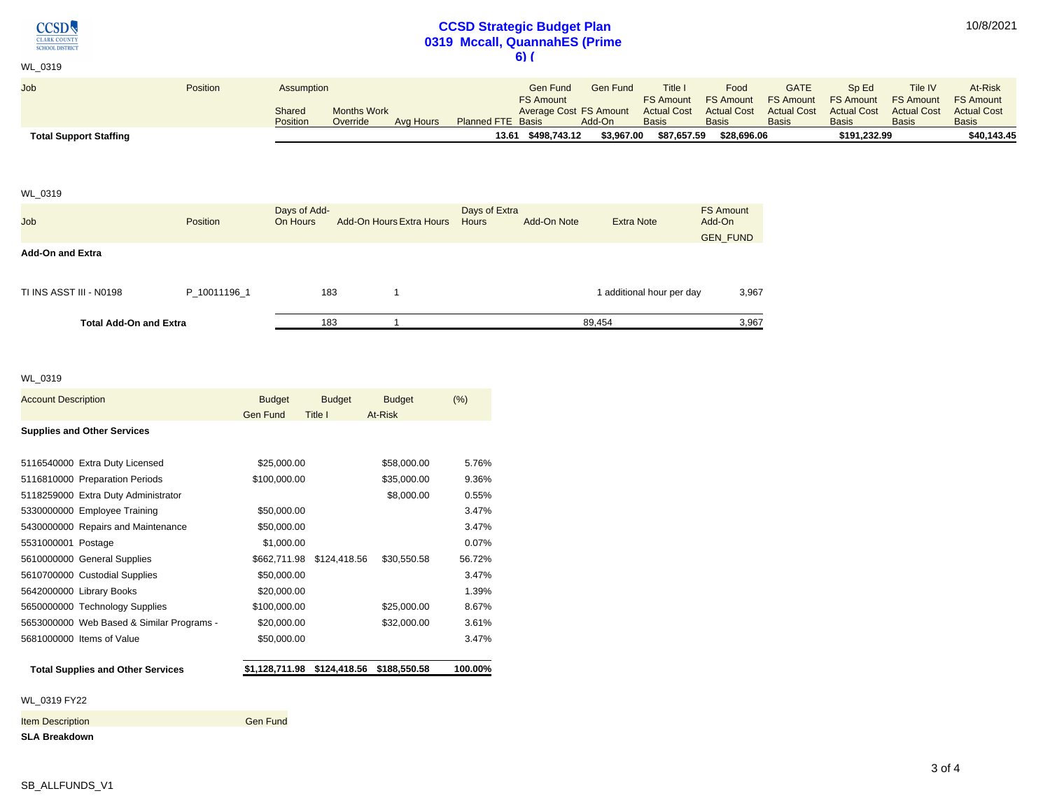**CCSD** CLARK COUNTY

# **CCSD Strategic Budget Plan 0319 Mccall, QuannahES (Prime 6) (**

10/8/2021

| <b>Total Support Staffing</b> |          |            |                    |           | 13.61 \$498.743.12       | \$3.967.00                    | \$87.657.59        | \$28,696.06        |                    | \$191.232.99       |                    | \$40.143.45                |
|-------------------------------|----------|------------|--------------------|-----------|--------------------------|-------------------------------|--------------------|--------------------|--------------------|--------------------|--------------------|----------------------------|
|                               |          | Position   | Override           | Avg Hours | <b>Planned FTE Basis</b> | Add-On                        | <b>Basis</b>       | <b>Basis</b>       | <b>Basis</b>       | <b>Basis</b>       | <b>Basis</b>       | <b>Basis</b>               |
|                               |          | Shared     | <b>Months Work</b> |           |                          | <b>Average Cost FS Amount</b> | <b>Actual Cost</b> | <b>Actual Cost</b> | <b>Actual Cost</b> | <b>Actual Cost</b> | <b>Actual Cost</b> | <b>Actual Cost</b>         |
|                               |          |            |                    |           | <b>FS Amount</b>         |                               | <b>FS Amount</b>   | <b>FS Amount</b>   | <b>FS Amount</b>   | <b>FS Amount</b>   |                    | <b>FS Amount FS Amount</b> |
| <b>Job</b>                    | Position | Assumption |                    |           | <b>Gen Fund</b>          | <b>Gen Fund</b>               | <b>Title</b>       | Food               | <b>GATE</b>        | Sp Ed              | Tile IV            | At-Risk                    |
|                               |          |            |                    |           |                          |                               |                    |                    |                    |                    |                    |                            |
| WL 0319                       |          |            |                    |           | .                        |                               |                    |                    |                    |                    |                    |                            |

### WL\_0319

| <b>Job</b>                    | <b>Position</b> | Days of Add-<br>On Hours | <b>Add-On Hours Extra Hours</b> | Days of Extra<br><b>Hours</b> | Add-On Note | <b>Extra Note</b>         | <b>FS Amount</b><br>Add-On |
|-------------------------------|-----------------|--------------------------|---------------------------------|-------------------------------|-------------|---------------------------|----------------------------|
| <b>Add-On and Extra</b>       |                 |                          |                                 |                               |             |                           | <b>GEN FUND</b>            |
| TI INS ASST III - N0198       | P 10011196 1    | 183                      |                                 |                               |             | I additional hour per day | 3,967                      |
| <b>Total Add-On and Extra</b> |                 | 183                      |                                 |                               |             | 89.454                    | 3,967                      |

### WL\_0319

| <b>Account Description</b>                | <b>Budget</b><br>Gen Fund   | <b>Budget</b><br>Title I | <b>Budget</b><br>At-Risk | (% )    |
|-------------------------------------------|-----------------------------|--------------------------|--------------------------|---------|
| <b>Supplies and Other Services</b>        |                             |                          |                          |         |
| 5116540000 Extra Duty Licensed            | \$25,000.00                 |                          | \$58,000.00              | 5.76%   |
| 5116810000 Preparation Periods            | \$100,000.00                |                          | \$35,000.00              | 9.36%   |
| 5118259000 Extra Duty Administrator       |                             |                          | \$8,000.00               | 0.55%   |
| 5330000000 Employee Training              | \$50,000.00                 |                          |                          | 3.47%   |
| 5430000000 Repairs and Maintenance        | \$50,000.00                 |                          |                          | 3.47%   |
| 5531000001 Postage                        | \$1,000.00                  |                          |                          | 0.07%   |
| 5610000000 General Supplies               | \$662,711.98                | \$124,418.56             | \$30,550.58              | 56.72%  |
| 5610700000 Custodial Supplies             | \$50,000.00                 |                          |                          | 3.47%   |
| 5642000000 Library Books                  | \$20,000.00                 |                          |                          | 1.39%   |
| 5650000000 Technology Supplies            | \$100,000.00                |                          | \$25,000.00              | 8.67%   |
| 5653000000 Web Based & Similar Programs - | \$20,000.00                 |                          | \$32,000.00              | 3.61%   |
| 5681000000 Items of Value                 | \$50,000.00                 |                          |                          | 3.47%   |
| <b>Total Supplies and Other Services</b>  | \$1,128,711.98 \$124,418.56 |                          | \$188,550.58             | 100.00% |
| WL 0319 FY22                              |                             |                          |                          |         |
| <b>Item Description</b>                   | <b>Gen Fund</b>             |                          |                          |         |
| <b>SLA Breakdown</b>                      |                             |                          |                          |         |